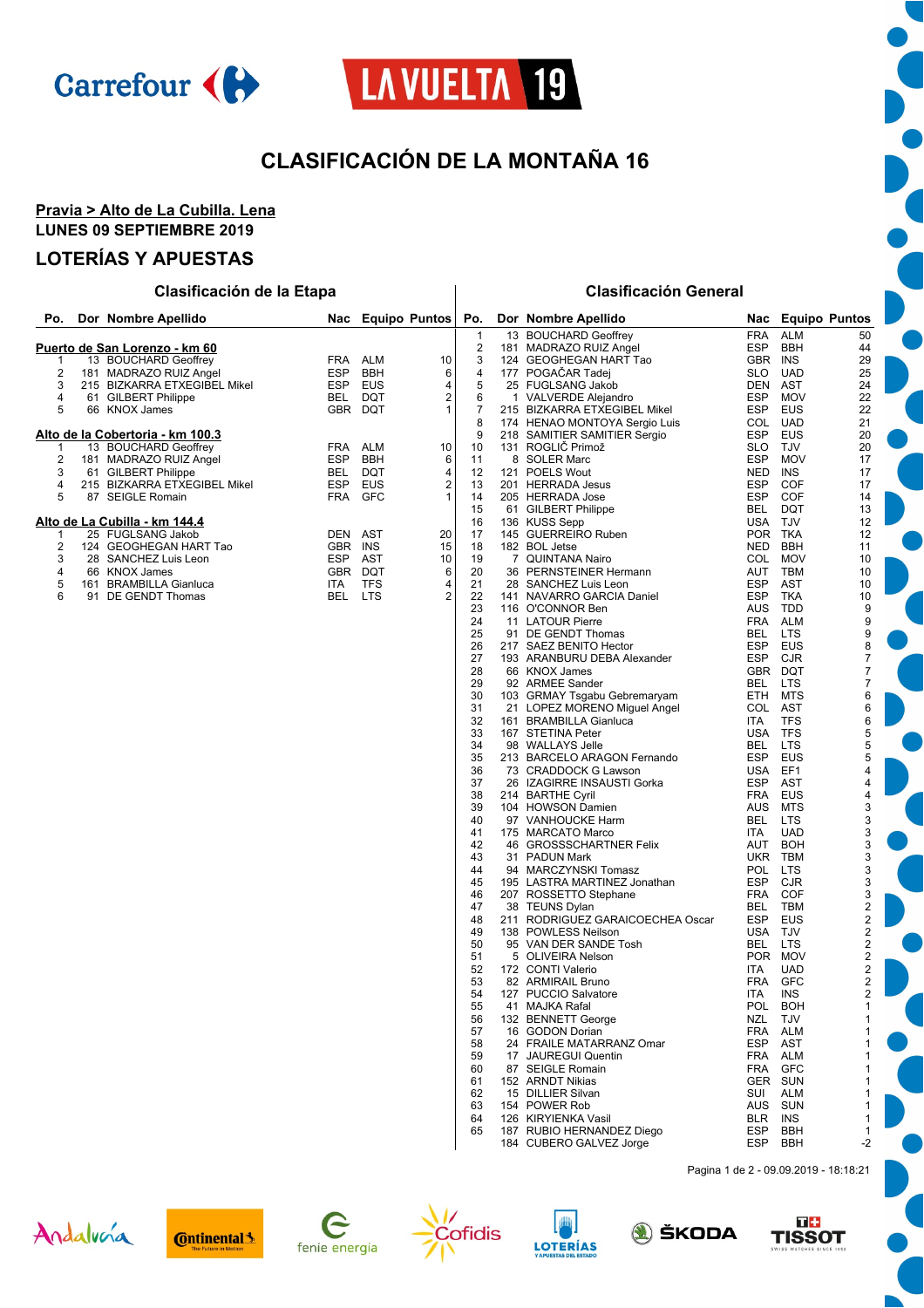

# LA VUELTA 19

# **CLASIFICACIÓN DE LA MONTAÑA 16**

#### **Pravia > Alto de La Cubilla. Lena LUNES 09 SEPTIEMBRE 2019**

#### **LOTERÍAS Y APUESTAS**

#### **Po. Dor Nombre Apellido Nac Equipo Puntos Po. Dor Nombre Apellido Nac Equipo Puntos Clasificación de la Etapa Clasificación General** 1 13 BOUCHARD Geoffrey FRA ALM 50<br>2 181 MADRAZO RUIZ Angel ESP BBH 44 181 MADRAZO RUIZ Angel ESP BBH 44 124 GEOGHEGAN HART Tao **Puerto de San Lorenzo - km 60** 13 BOUCHARD Geoffrey FRA ALM 10 2 181 MADRAZO RUIZ Angel ESP BBH 6 215 BIZKARRA ETXEGIBEL Mikel ESP EUS 4<br>
215 BIZKARRA ETXEGIBEL Mikel ESP EUS 4<br>
5 66 KNOX James 6 GBR DQT 1 4 61 GILBERT Philippe<br>5 66 KNOX James 20 10 10 GBR DQT 66 KNOX James **Alto de la Cobertoria - km 100.3** 1 13 BOUCHARD Geoffrey **FRA** ALM 10 2 181 MADRAZO RUIZ Angel ESP BBH 6 2 61 GILBERT Philippe BEL DQT 4<br>4 215 BIZKARRA ETXEGIBEL Mikel BEL DQT 4 4 215 BIZKARRA ETXEGIBEL Mikel ESP EUS 2<br>5 87 SEIGLE Romain 2 2 FRA GFC 2 87 SEIGLE Romain **Alto de La Cubilla - km 144.4** 1 25 FUGLSANG Jakob DEN AST 20 124 GEOGHEGAN HART Tao GBR INS 15 28 SANCHEZ Luis Leon ESP AST 10 4 66 KNOX James Exerce Control CBR DQT 6<br>5 161 BRAMBILLA Gianluca 1 11 TFS 4 161 BRAMBILLA Gianluca 1174 TFS 4<br>151 DE GENDT Thomas 115 BEL LTS 2 6 91 DE GENDT Thomas

| 4              | 177 | POGAČAR Tadej                    | SLO        | UAD        | 25                      |
|----------------|-----|----------------------------------|------------|------------|-------------------------|
| 5              | 25  | <b>FUGLSANG Jakob</b>            | DEN        | AST        | 24                      |
| 6              |     | 1 VALVERDE Alejandro             | <b>ESP</b> | <b>MOV</b> | 22                      |
| $\overline{7}$ |     | 215 BIZKARRA ETXEGIBEL Mikel     | <b>ESP</b> | <b>EUS</b> | 22                      |
| 8              |     | 174 HENAO MONTOYA Sergio Luis    | COL        | <b>UAD</b> | 21                      |
|                |     |                                  |            |            |                         |
| 9              |     | 218 SAMITIER SAMITIER Sergio     | <b>ESP</b> | <b>EUS</b> | 20                      |
| 10             |     | 131 ROGLIČ Primož                | <b>SLO</b> | TJV        | 20                      |
| 11             |     | 8 SOLER Marc                     | <b>ESP</b> | <b>MOV</b> | 17                      |
| 12             |     | 121 POELS Wout                   | <b>NED</b> | <b>INS</b> | 17                      |
| 13             |     | 201 HERRADA Jesus                | <b>ESP</b> | <b>COF</b> | 17                      |
| 14             |     | 205 HERRADA Jose                 | <b>ESP</b> | COF        | 14                      |
| 15             |     | 61 GILBERT Philippe              | <b>BEL</b> | <b>DQT</b> | 13                      |
| 16             |     | 136 KUSS Sepp                    | USA        | TJV        | 12                      |
| 17             |     | 145 GUERREIRO Ruben              | <b>POR</b> | <b>TKA</b> | 12                      |
|                |     |                                  |            |            |                         |
| 18             |     | 182 BOL Jetse                    | <b>NED</b> | <b>BBH</b> | 11                      |
| 19             |     | 7 QUINTANA Nairo                 | COL        | <b>MOV</b> | 10                      |
| 20             |     | 36 PERNSTEINER Hermann           | AUT        | TBM        | 10                      |
| 21             |     | 28 SANCHEZ Luis Leon             | <b>ESP</b> | <b>AST</b> | 10                      |
| 22             |     | 141 NAVARRO GARCIA Daniel        | <b>ESP</b> | <b>TKA</b> | 10                      |
| 23             |     | 116 O'CONNOR Ben                 | <b>AUS</b> | TDD        | 9                       |
| 24             |     | 11 LATOUR Pierre                 | <b>FRA</b> | <b>ALM</b> | 9                       |
| 25             |     | 91 DE GENDT Thomas               | BEL        | <b>LTS</b> | 9                       |
| 26             |     | 217 SAEZ BENITO Hector           | <b>ESP</b> | EUS        | 8                       |
|                |     | 193 ARANBURU DEBA Alexander      | <b>ESP</b> | <b>CJR</b> | $\overline{7}$          |
| 27             |     |                                  |            |            |                         |
| 28             |     | 66 KNOX James                    | <b>GBR</b> | <b>DQT</b> | 7                       |
| 29             |     | 92 ARMEE Sander                  | <b>BEL</b> | <b>LTS</b> | $\overline{7}$          |
| 30             |     | 103 GRMAY Tsgabu Gebremaryam     | <b>ETH</b> | <b>MTS</b> | 6                       |
| 31             |     | 21 LOPEZ MORENO Miquel Angel     | COL        | <b>AST</b> | 6                       |
| 32             |     | 161 BRAMBILLA Gianluca           | ITA        | <b>TFS</b> | 6                       |
| 33             |     | 167 STETINA Peter                | <b>USA</b> | <b>TFS</b> | 5                       |
| 34             |     | 98 WALLAYS Jelle                 | BEL        | LTS        | 5                       |
| 35             |     | 213 BARCELO ARAGON Fernando      | <b>ESP</b> | <b>EUS</b> | 5                       |
| 36             |     | 73 CRADDOCK G Lawson             | <b>USA</b> | EF1        | 4                       |
| 37             |     | 26 IZAGIRRE INSAUSTI Gorka       | <b>ESP</b> | <b>AST</b> | $\overline{4}$          |
|                |     |                                  |            |            |                         |
| 38             |     | 214 BARTHE Cyril                 | <b>FRA</b> | <b>EUS</b> | $\overline{4}$          |
| 39             |     | 104 HOWSON Damien                | AUS        | <b>MTS</b> | 3                       |
| 40             |     | 97 VANHOUCKE Harm                | BEL        | LTS        | 3                       |
| 41             |     | 175 MARCATO Marco                | <b>ITA</b> | <b>UAD</b> | 3                       |
| 42             |     | 46 GROSSSCHARTNER Felix          | AUT        | <b>BOH</b> | 3                       |
| 43             |     | 31 PADUN Mark                    | <b>UKR</b> | <b>TBM</b> | 3                       |
| 44             |     | 94 MARCZYNSKI Tomasz             | <b>POL</b> | <b>LTS</b> | 3                       |
| 45             |     | 195 LASTRA MARTINEZ Jonathan     | <b>ESP</b> | CJR        | 3                       |
| 46             |     | 207 ROSSETTO Stephane            | <b>FRA</b> | <b>COF</b> | 3                       |
| 47             |     | 38 TEUNS Dylan                   | <b>BEL</b> | <b>TBM</b> | $\overline{\mathbf{c}}$ |
|                |     |                                  |            |            | $\overline{2}$          |
| 48             |     | 211 RODRIGUEZ GARAICOECHEA Oscar | <b>ESP</b> | EUS        |                         |
| 49             |     | 138 POWLESS Neilson              | <b>USA</b> | TJV        | $\overline{2}$          |
| 50             |     | 95 VAN DER SANDE Tosh            | <b>BEL</b> | <b>LTS</b> | $\overline{2}$          |
| 51             |     | 5 OLIVEIRA Nelson                | <b>POR</b> | <b>MOV</b> | $\overline{c}$          |
| 52             |     | 172 CONTI Valerio                | ITA        | <b>UAD</b> | $\overline{2}$          |
| 53             |     | 82 ARMIRAIL Bruno                | <b>FRA</b> | GFC        | $\overline{c}$          |
| 54             |     | 127 PUCCIO Salvatore             | <b>ITA</b> | <b>INS</b> | $\overline{2}$          |
| 55             |     | 41 MAJKA Rafal                   | POL        | <b>BOH</b> | $\overline{1}$          |
| 56             |     | 132 BENNETT George               | NZL        | <b>TJV</b> | 1                       |
| 57             |     | 16 GODON Dorian                  | <b>FRA</b> | <b>ALM</b> | 1                       |
|                |     |                                  |            |            | 1                       |
| 58             |     | 24 FRAILE MATARRANZ Omar         | <b>ESP</b> | AST        |                         |
| 59             |     | 17 JAUREGUI Quentin              | <b>FRA</b> | <b>ALM</b> | 1                       |
| 60             |     | 87 SEIGLE Romain                 | <b>FRA</b> | <b>GFC</b> | 1                       |
| 61             |     | 152 ARNDT Nikias                 | <b>GER</b> | <b>SUN</b> | 1                       |
| 62             |     | 15 DILLIER Silvan                | SUI        | <b>ALM</b> | 1                       |
| 63             |     | 154 POWER Rob                    | <b>AUS</b> | <b>SUN</b> | 1                       |
| 64             |     | 126 KIRYIENKA Vasil              | <b>BLR</b> | <b>INS</b> | $\mathbf{1}$            |
| 65             |     | 187 RUBIO HERNANDEZ Diego        | <b>ESP</b> | BBH        | 1                       |
|                |     | 184 CUBERO GALVEZ Jorge          | <b>ESP</b> | <b>BBH</b> | $-2$                    |
|                |     |                                  |            |            |                         |
|                |     |                                  |            |            |                         |

Pagina 1 de 2 - 09.09.2019 - 18:18:21